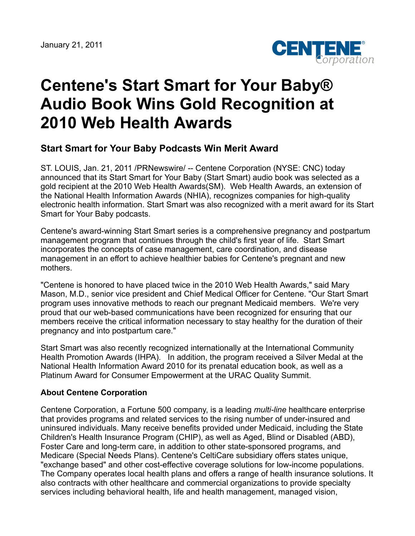

## **Centene's Start Smart for Your Baby® Audio Book Wins Gold Recognition at 2010 Web Health Awards**

## **Start Smart for Your Baby Podcasts Win Merit Award**

ST. LOUIS, Jan. 21, 2011 /PRNewswire/ -- Centene Corporation (NYSE: CNC) today announced that its Start Smart for Your Baby (Start Smart) audio book was selected as a gold recipient at the 2010 Web Health Awards(SM). Web Health Awards, an extension of the National Health Information Awards (NHIA), recognizes companies for high-quality electronic health information. Start Smart was also recognized with a merit award for its Start Smart for Your Baby podcasts.

Centene's award-winning Start Smart series is a comprehensive pregnancy and postpartum management program that continues through the child's first year of life. Start Smart incorporates the concepts of case management, care coordination, and disease management in an effort to achieve healthier babies for Centene's pregnant and new mothers.

"Centene is honored to have placed twice in the 2010 Web Health Awards," said Mary Mason, M.D., senior vice president and Chief Medical Officer for Centene. "Our Start Smart program uses innovative methods to reach our pregnant Medicaid members. We're very proud that our web-based communications have been recognized for ensuring that our members receive the critical information necessary to stay healthy for the duration of their pregnancy and into postpartum care."

Start Smart was also recently recognized internationally at the International Community Health Promotion Awards (IHPA). In addition, the program received a Silver Medal at the National Health Information Award 2010 for its prenatal education book, as well as a Platinum Award for Consumer Empowerment at the URAC Quality Summit.

## **About Centene Corporation**

Centene Corporation, a Fortune 500 company, is a leading *multi-line* healthcare enterprise that provides programs and related services to the rising number of under-insured and uninsured individuals. Many receive benefits provided under Medicaid, including the State Children's Health Insurance Program (CHIP), as well as Aged, Blind or Disabled (ABD), Foster Care and long-term care, in addition to other state-sponsored programs, and Medicare (Special Needs Plans). Centene's CeltiCare subsidiary offers states unique, "exchange based" and other cost-effective coverage solutions for low-income populations. The Company operates local health plans and offers a range of health insurance solutions. It also contracts with other healthcare and commercial organizations to provide specialty services including behavioral health, life and health management, managed vision,